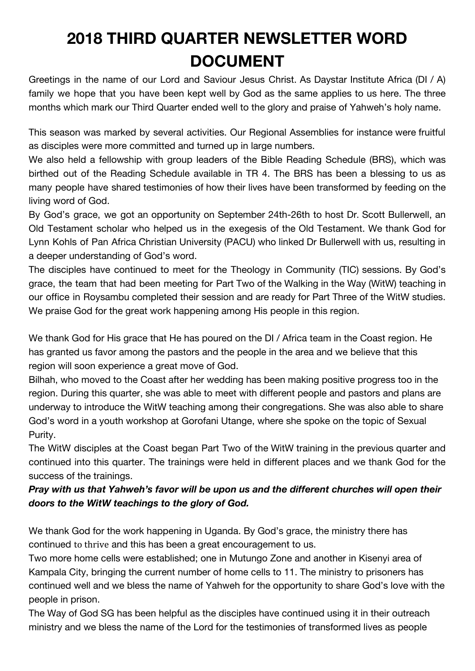## **2018 THIRD QUARTER NEWSLETTER WORD DOCUMENT**

Greetings in the name of our Lord and Saviour Jesus Christ. As Daystar Institute Africa (DI / A) family we hope that you have been kept well by God as the same applies to us here. The three months which mark our Third Quarter ended well to the glory and praise of Yahweh's holy name.

This season was marked by several activities. Our Regional Assemblies for instance were fruitful as disciples were more committed and turned up in large numbers.

We also held a fellowship with group leaders of the Bible Reading Schedule (BRS), which was birthed out of the Reading Schedule available in TR 4. The BRS has been a blessing to us as many people have shared testimonies of how their lives have been transformed by feeding on the living word of God.

By God's grace, we got an opportunity on September 24th-26th to host Dr. Scott Bullerwell, an Old Testament scholar who helped us in the exegesis of the Old Testament. We thank God for Lynn Kohls of Pan Africa Christian University (PACU) who linked Dr Bullerwell with us, resulting in a deeper understanding of God's word.

The disciples have continued to meet for the Theology in Community (TIC) sessions. By God's grace, the team that had been meeting for Part Two of the Walking in the Way (WitW) teaching in our office in Roysambu completed their session and are ready for Part Three of the WitW studies. We praise God for the great work happening among His people in this region.

We thank God for His grace that He has poured on the DI / Africa team in the Coast region. He has granted us favor among the pastors and the people in the area and we believe that this region will soon experience a great move of God.

Bilhah, who moved to the Coast after her wedding has been making positive progress too in the region. During this quarter, she was able to meet with different people and pastors and plans are underway to introduce the WitW teaching among their congregations. She was also able to share God's word in a youth workshop at Gorofani Utange, where she spoke on the topic of Sexual Purity.

The WitW disciples at the Coast began Part Two of the WitW training in the previous quarter and continued into this quarter. The trainings were held in different places and we thank God for the success of the trainings.

## *Pray with us that Yahweh's favor will be upon us and the different churches will open their doors to the WitW teachings to the glory of God.*

We thank God for the work happening in Uganda. By God's grace, the ministry there has continued to thrive and this has been a great encouragement to us.

Two more home cells were established; one in Mutungo Zone and another in Kisenyi area of Kampala City, bringing the current number of home cells to 11. The ministry to prisoners has continued well and we bless the name of Yahweh for the opportunity to share God's love with the people in prison.

The Way of God SG has been helpful as the disciples have continued using it in their outreach ministry and we bless the name of the Lord for the testimonies of transformed lives as people